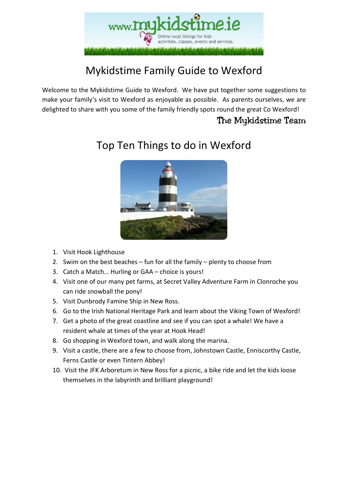

## Mykidstime Family Guide to Wexford

Welcome to the Mykidstime Guide to Wexford. We have put together some suggestions to make your family's visit to Wexford as enjoyable as possible. As parents ourselves, we are delighted to share with you some of the family friendly spots round the great Co Wexford!

#### The Mykidstime Team



### Top Ten Things to do in Wexford

- 1. Visit Hook Lighthouse
- 2. Swim on the best beaches fun for all the family plenty to choose from
- 3. Catch a Match… Hurling or GAA choice is yours!
- 4. Visit one of our many pet farms, at Secret Valley Adventure Farm in Clonroche you can ride snowball the pony!
- 5. Visit Dunbrody Famine Ship in New Ross.
- 6. Go to the Irish National Heritage Park and learn about the Viking Town of Wexford!
- 7. Get a photo of the great coastline and see if you can spot a whale! We have a resident whale at times of the year at Hook Head!
- 8. Go shopping in Wexford town, and walk along the marina.
- 9. Visit a castle, there are a few to choose from, Johnstown Castle, Enniscorthy Castle, Ferns Castle or even Tintern Abbey!
- 10. Visit the JFK Arboretum in New Ross for a picnic, a bike ride and let the kids loose themselves in the labyrinth and brilliant playground!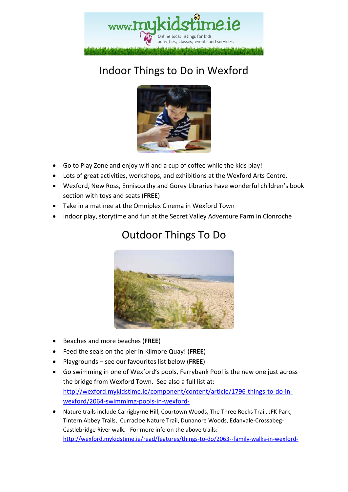

# Indoor Things to Do in Wexford



- Go to Play Zone and enjoy wifi and a cup of coffee while the kids play!
- Lots of great activities, workshops, and exhibitions at the Wexford Arts Centre.
- Wexford, New Ross, Enniscorthy and Gorey Libraries have wonderful children's book section with toys and seats (**FREE**)
- Take in a matinee at the Omniplex Cinema in Wexford Town
- Indoor play, storytime and fun at the Secret Valley Adventure Farm in Clonroche



#### Outdoor Things To Do

- Beaches and more beaches (**FREE**)
- Feed the seals on the pier in Kilmore Quay! (**FREE**)
- Playgrounds see our favourites list below (**FREE**)
- Go swimming in one of Wexford's pools, Ferrybank Pool is the new one just across the bridge from Wexford Town. See also a full list at: http://wexford.mykidstime.ie/component/content/article/1796-things-to-do-inwexford/2064-swimmimg-pools-in-wexford-
- Nature trails include Carrigbyrne Hill, Courtown Woods, The Three Rocks Trail, JFK Park, Tintern Abbey Trails, Curracloe Nature Trail, Dunanore Woods, Edanvale-Crossabeg-Castlebridge River walk. For more info on the above trails: http://wexford.mykidstime.ie/read/features/things-to-do/2063--family-walks-in-wexford-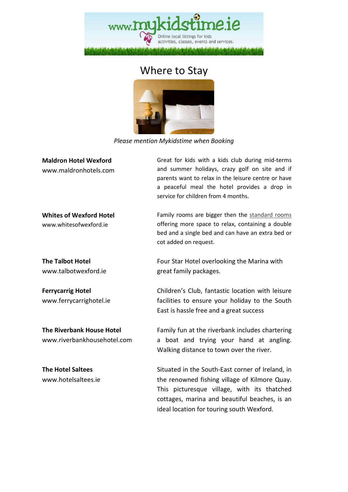

#### Where to Stay



*Please mention Mykidstime when Booking* 

| <b>Maldron Hotel Wexford</b><br>www.maldronhotels.com           | Great for kids with a kids club during mid-terms<br>and summer holidays, crazy golf on site and if<br>parents want to relax in the leisure centre or have<br>a peaceful meal the hotel provides a drop in<br>service for children from 4 months. |
|-----------------------------------------------------------------|--------------------------------------------------------------------------------------------------------------------------------------------------------------------------------------------------------------------------------------------------|
| <b>Whites of Wexford Hotel</b><br>www.whitesofwexford.ie        | Family rooms are bigger then the standard rooms<br>offering more space to relax, containing a double<br>bed and a single bed and can have an extra bed or<br>cot added on request.                                                               |
| <b>The Talbot Hotel</b><br>www.talbotwexford.ie                 | Four Star Hotel overlooking the Marina with<br>great family packages.                                                                                                                                                                            |
| <b>Ferrycarrig Hotel</b><br>www.ferrycarrighotel.ie             | Children's Club, fantastic location with leisure<br>facilities to ensure your holiday to the South<br>East is hassle free and a great success                                                                                                    |
| <b>The Riverbank House Hotel</b><br>www.riverbankhousehotel.com | Family fun at the riverbank includes chartering<br>boat and trying your hand at angling.<br>a<br>Walking distance to town over the river.                                                                                                        |
| <b>The Hotel Saltees</b><br>www.hotelsaltees.ie                 | Situated in the South-East corner of Ireland, in<br>the renowned fishing village of Kilmore Quay.<br>This picturesque village, with its thatched<br>cottages, marina and beautiful beaches, is an<br>ideal location for touring south Wexford.   |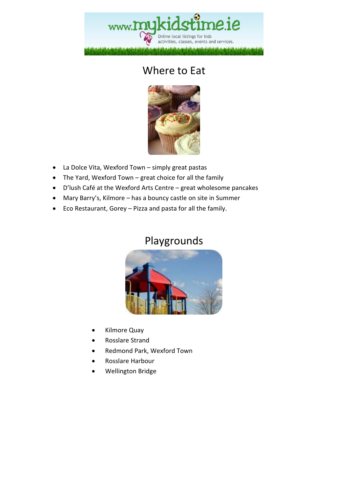## www.myk Online local listings for kids activities, classes, events and services.

#### Where to Eat



- La Dolce Vita, Wexford Town simply great pastas
- The Yard, Wexford Town great choice for all the family
- D'lush Café at the Wexford Arts Centre great wholesome pancakes
- Mary Barry's, Kilmore has a bouncy castle on site in Summer
- Eco Restaurant, Gorey Pizza and pasta for all the family.

#### Playgrounds



- Kilmore Quay
- Rosslare Strand
- Redmond Park, Wexford Town
- Rosslare Harbour
- Wellington Bridge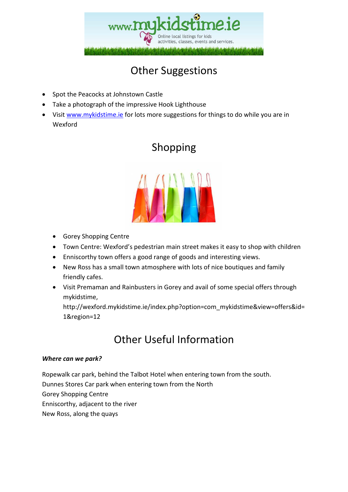

## Other Suggestions

- Spot the Peacocks at Johnstown Castle
- Take a photograph of the impressive Hook Lighthouse
- Visit www.mykidstime.ie for lots more suggestions for things to do while you are in Wexford

#### Shopping



- Gorey Shopping Centre
- Town Centre: Wexford's pedestrian main street makes it easy to shop with children
- Enniscorthy town offers a good range of goods and interesting views.
- New Ross has a small town atmosphere with lots of nice boutiques and family friendly cafes.
- Visit Premaman and Rainbusters in Gorey and avail of some special offers through mykidstime,

http://wexford.mykidstime.ie/index.php?option=com\_mykidstime&view=offers&id= 1&region=12

#### Other Useful Information

#### *Where can we park?*

Ropewalk car park, behind the Talbot Hotel when entering town from the south. Dunnes Stores Car park when entering town from the North Gorey Shopping Centre Enniscorthy, adjacent to the river New Ross, along the quays